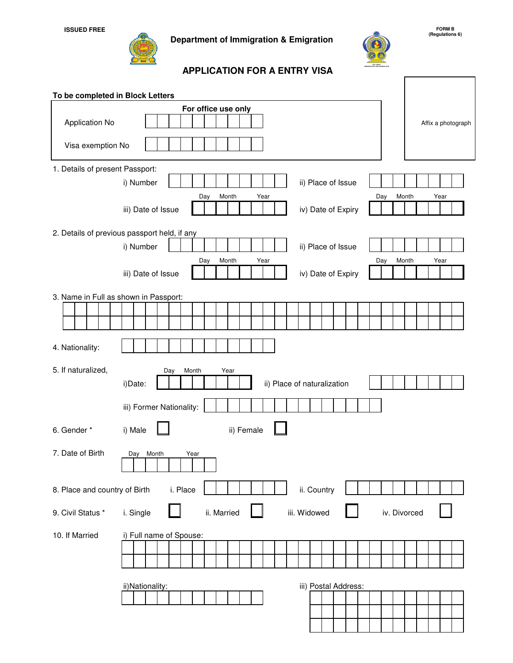**Department of Immigration & Emigration**



## **APPLICATION FOR A ENTRY VISA**

| To be completed in Block Letters      |                                                                                          |
|---------------------------------------|------------------------------------------------------------------------------------------|
|                                       | For office use only                                                                      |
| Application No                        | Affix a photograph                                                                       |
| Visa exemption No                     |                                                                                          |
| 1. Details of present Passport:       |                                                                                          |
|                                       | ii) Place of Issue<br>i) Number                                                          |
|                                       | Day<br>Month<br>Year<br>Month<br>Year<br>Day<br>iv) Date of Expiry<br>iii) Date of Issue |
|                                       | 2. Details of previous passport held, if any                                             |
|                                       | i) Number<br>ii) Place of Issue                                                          |
|                                       | Month<br>Year<br>Month<br>Year<br>Day<br>Day<br>iv) Date of Expiry<br>iii) Date of Issue |
| 3. Name in Full as shown in Passport: |                                                                                          |
|                                       |                                                                                          |
|                                       |                                                                                          |
| 4. Nationality:                       |                                                                                          |
| 5. If naturalized,                    | Month<br>Year<br>Day<br>i)Date:<br>ii) Place of naturalization                           |
|                                       | iii) Former Nationality:                                                                 |
| 6. Gender *                           | ii) Female<br>i) Male                                                                    |
| 7. Date of Birth                      | Day Month<br>Year                                                                        |
| 8. Place and country of Birth         | ii. Country<br>i. Place                                                                  |
| 9. Civil Status *                     | iii. Widowed<br>iv. Divorced<br>i. Single<br>ii. Married                                 |
| 10. If Married                        | i) Full name of Spouse:                                                                  |
|                                       | iii) Postal Address:<br>ii)Nationality:                                                  |

**FORM B (Regulations 6)**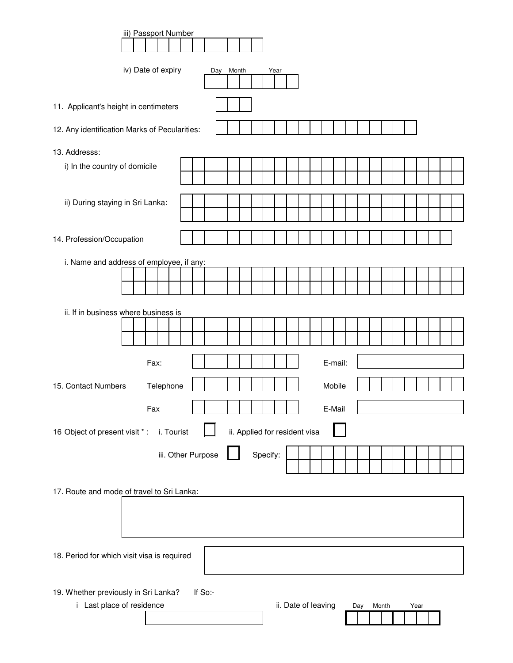| iii) Passport Number                                                                                                        |
|-----------------------------------------------------------------------------------------------------------------------------|
|                                                                                                                             |
| iv) Date of expiry<br>Day Month<br>Year                                                                                     |
| 11. Applicant's height in centimeters                                                                                       |
| 12. Any identification Marks of Pecularities:                                                                               |
| 13. Addresss:                                                                                                               |
| i) In the country of domicile                                                                                               |
| ii) During staying in Sri Lanka:                                                                                            |
| 14. Profession/Occupation                                                                                                   |
| i. Name and address of employee, if any:                                                                                    |
|                                                                                                                             |
|                                                                                                                             |
| ii. If in business where business is                                                                                        |
|                                                                                                                             |
|                                                                                                                             |
| E-mail:<br>Fax:                                                                                                             |
| Telephone<br>Mobile<br>15. Contact Numbers                                                                                  |
|                                                                                                                             |
| E-Mail<br>Fax                                                                                                               |
| ii. Applied for resident visa<br>16 Object of present visit *:<br>i. Tourist                                                |
| Specify:<br>iii. Other Purpose                                                                                              |
| 17. Route and mode of travel to Sri Lanka:                                                                                  |
|                                                                                                                             |
|                                                                                                                             |
| 18. Period for which visit visa is required                                                                                 |
|                                                                                                                             |
| 19. Whether previously in Sri Lanka?<br>If So:-<br>ii. Date of leaving<br>i Last place of residence<br>Month<br>Year<br>Day |
|                                                                                                                             |
|                                                                                                                             |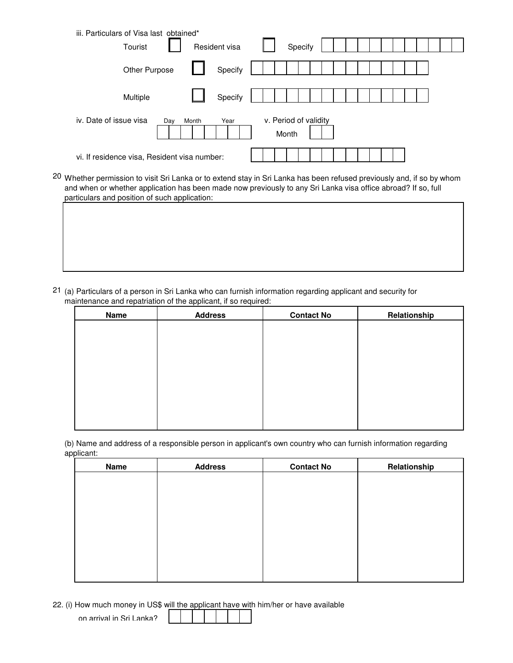|                        | iii. Particulars of Visa last obtained*      |               |                                |  |  |  |  |
|------------------------|----------------------------------------------|---------------|--------------------------------|--|--|--|--|
|                        | Tourist                                      | Resident visa | Specify                        |  |  |  |  |
|                        | Other Purpose                                | Specify       |                                |  |  |  |  |
|                        | Multiple                                     | Specify       |                                |  |  |  |  |
| iv. Date of issue visa | Day                                          | Month<br>Year | v. Period of validity<br>Month |  |  |  |  |
|                        | vi. If residence visa, Resident visa number: |               |                                |  |  |  |  |

<sup>20</sup> Whether permission to visit Sri Lanka or to extend stay in Sri Lanka has been refused previously and, if so by whom and when or whether application has been made now previously to any Sri Lanka visa office abroad? If so, full particulars and position of such application:

<sup>21</sup> (a) Particulars of a person in Sri Lanka who can furnish information regarding applicant and security for maintenance and repatriation of the applicant, if so required:

| Name | <b>Address</b> | <b>Contact No</b> | Relationship |
|------|----------------|-------------------|--------------|
|      |                |                   |              |
|      |                |                   |              |
|      |                |                   |              |
|      |                |                   |              |
|      |                |                   |              |
|      |                |                   |              |
|      |                |                   |              |
|      |                |                   |              |

(b) Name and address of a responsible person in applicant's own country who can furnish information regarding applicant:

| <b>Name</b> | <b>Address</b> | <b>Contact No</b> | Relationship |
|-------------|----------------|-------------------|--------------|
|             |                |                   |              |
|             |                |                   |              |
|             |                |                   |              |
|             |                |                   |              |
|             |                |                   |              |
|             |                |                   |              |
|             |                |                   |              |
|             |                |                   |              |

22. (i) How much money in US\$ will the applicant have with him/her or have available

on arrival in Sri Lanka?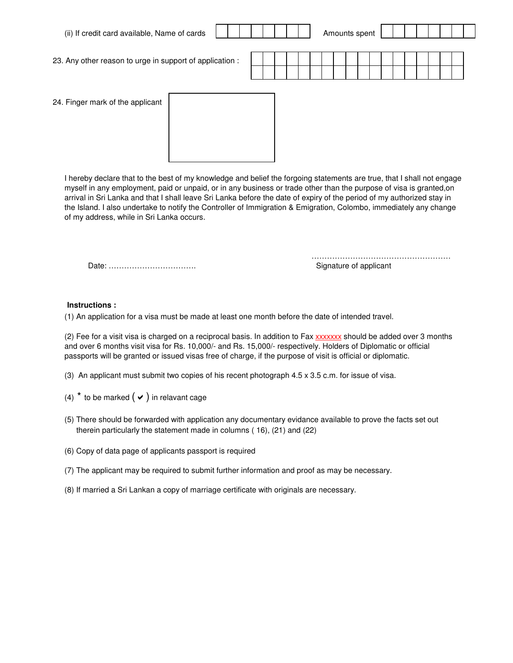| (ii) If credit card available, Name of cards             |  |  | Amounts spent |  |  |  |  |  |  |
|----------------------------------------------------------|--|--|---------------|--|--|--|--|--|--|
| 23. Any other reason to urge in support of application : |  |  |               |  |  |  |  |  |  |
| 24. Finger mark of the applicant                         |  |  |               |  |  |  |  |  |  |
|                                                          |  |  |               |  |  |  |  |  |  |

I hereby declare that to the best of my knowledge and belief the forgoing statements are true, that I shall not engage myself in any employment, paid or unpaid, or in any business or trade other than the purpose of visa is granted,on arrival in Sri Lanka and that I shall leave Sri Lanka before the date of expiry of the period of my authorized stay in the Island. I also undertake to notify the Controller of Immigration & Emigration, Colombo, immediately any change of my address, while in Sri Lanka occurs.

Date: ……………………………. Signature of applicant

………………………………………………

## **Instructions :**

(1) An application for a visa must be made at least one month before the date of intended travel.

(2) Fee for a visit visa is charged on a reciprocal basis. In addition to Fax xxxxxxx should be added over 3 months and over 6 months visit visa for Rs. 10,000/- and Rs. 15,000/- respectively. Holders of Diplomatic or official passports will be granted or issued visas free of charge, if the purpose of visit is official or diplomatic.

- (3) An applicant must submit two copies of his recent photograph 4.5 x 3.5 c.m. for issue of visa.
- (4)  $*$  to be marked  $(\vee)$  in relavant cage
- (5) There should be forwarded with application any documentary evidance available to prove the facts set out therein particularly the statement made in columns ( 16), (21) and (22)
- (6) Copy of data page of applicants passport is required
- (7) The applicant may be required to submit further information and proof as may be necessary.
- (8) If married a Sri Lankan a copy of marriage certificate with originals are necessary.